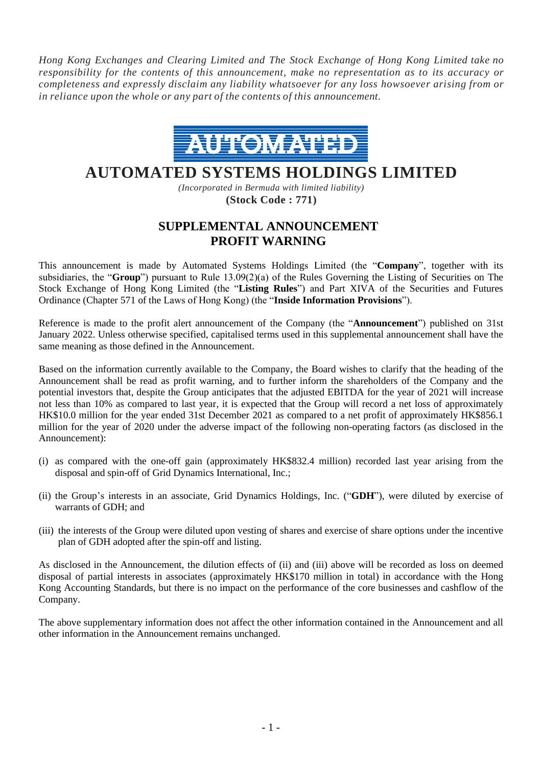*Hong Kong Exchanges and Clearing Limited and The Stock Exchange of Hong Kong Limited take no responsibility for the contents of this announcement, make no representation as to its accuracy or completeness and expressly disclaim any liability whatsoever for any loss howsoever arising from or in reliance upon the whole or any part of the contents of this announcement.*



## **AUTOMATED SYSTEMS HOLDINGS LIMITED**

*(Incorporated in Bermuda with limited liability)* **(Stock Code : 771)**

## **SUPPLEMENTAL ANNOUNCEMENT PROFIT WARNING**

This announcement is made by Automated Systems Holdings Limited (the "**Company**", together with its subsidiaries, the "**Group**") pursuant to Rule 13.09(2)(a) of the Rules Governing the Listing of Securities on The Stock Exchange of Hong Kong Limited (the "**Listing Rules**") and Part XIVA of the Securities and Futures Ordinance (Chapter 571 of the Laws of Hong Kong) (the "**Inside Information Provisions**").

Reference is made to the profit alert announcement of the Company (the "**Announcement**") published on 31st January 2022. Unless otherwise specified, capitalised terms used in this supplemental announcement shall have the same meaning as those defined in the Announcement.

Based on the information currently available to the Company, the Board wishes to clarify that the heading of the Announcement shall be read as profit warning, and to further inform the shareholders of the Company and the potential investors that, despite the Group anticipates that the adjusted EBITDA for the year of 2021 will increase not less than 10% as compared to last year, it is expected that the Group will record a net loss of approximately HK\$10.0 million for the year ended 31st December 2021 as compared to a net profit of approximately HK\$856.1 million for the year of 2020 under the adverse impact of the following non-operating factors (as disclosed in the Announcement):

- (i) as compared with the one-off gain (approximately HK\$832.4 million) recorded last year arising from the disposal and spin-off of Grid Dynamics International, Inc.;
- (ii) the Group's interests in an associate, Grid Dynamics Holdings, Inc. ("**GDH**"), were diluted by exercise of warrants of GDH; and
- (iii) the interests of the Group were diluted upon vesting of shares and exercise of share options under the incentive plan of GDH adopted after the spin-off and listing.

As disclosed in the Announcement, the dilution effects of (ii) and (iii) above will be recorded as loss on deemed disposal of partial interests in associates (approximately HK\$170 million in total) in accordance with the Hong Kong Accounting Standards, but there is no impact on the performance of the core businesses and cashflow of the Company.

The above supplementary information does not affect the other information contained in the Announcement and all other information in the Announcement remains unchanged.